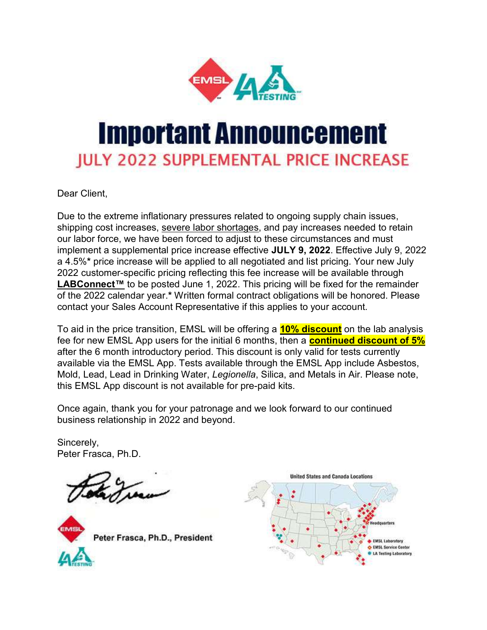

## Important Announcement **JULY 2022 SUPPLEMENTAL PRICE INCREASE**

Dear Client,

Due to the extreme inflationary pressures related to ongoing supply chain issues, shipping cost increases, severe labor shortages, and pay increases needed to retain our labor force, we have been forced to adjust to these circumstances and must implement a supplemental price increase effective JULY 9, 2022. Effective July 9, 2022 a 4.5%\* price increase will be applied to all negotiated and list pricing. Your new July 2022 customer-specific pricing reflecting this fee increase will be available through LABConnect™ to be posted June 1, 2022. This pricing will be fixed for the remainder of the 2022 calendar year.\* Written formal contract obligations will be honored. Please contact your Sales Account Representative if this applies to your account.

To aid in the price transition, EMSL will be offering a **10% discount** on the lab analysis fee for new EMSL App users for the initial 6 months, then a **continued discount of 5%** after the 6 month introductory period. This discount is only valid for tests currently available via the EMSL App. Tests available through the EMSL App include Asbestos, Mold, Lead, Lead in Drinking Water, Legionella, Silica, and Metals in Air. Please note, this EMSL App discount is not available for pre-paid kits.

Once again, thank you for your patronage and we look forward to our continued business relationship in 2022 and beyond.

Sincerely, Peter Frasca, Ph.D.